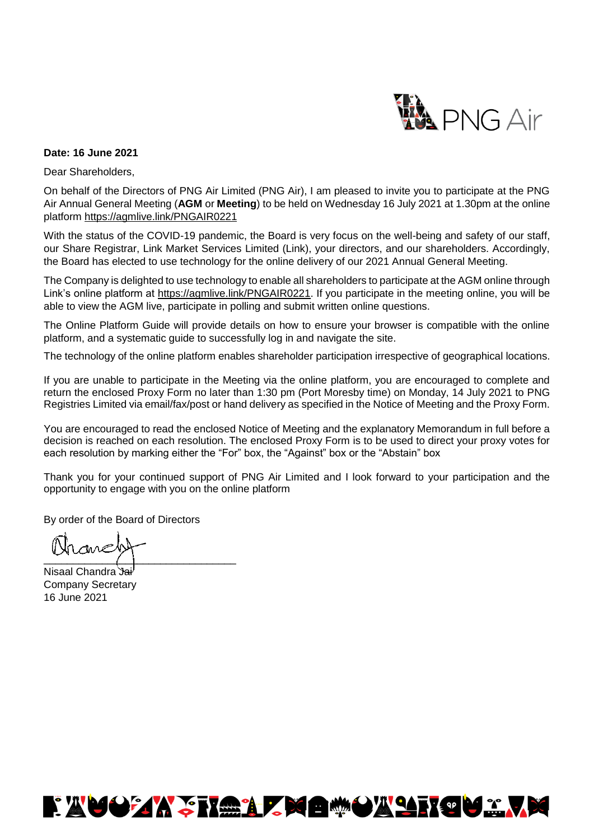

#### **Date: 16 June 2021**

Dear Shareholders,

On behalf of the Directors of PNG Air Limited (PNG Air), I am pleased to invite you to participate at the PNG Air Annual General Meeting (**AGM** or **Meeting**) to be held on Wednesday 16 July 2021 at 1.30pm at the online platform<https://agmlive.link/PNGAIR0221>

With the status of the COVID-19 pandemic, the Board is very focus on the well-being and safety of our staff, our Share Registrar, Link Market Services Limited (Link), your directors, and our shareholders. Accordingly, the Board has elected to use technology for the online delivery of our 2021 Annual General Meeting.

The Company is delighted to use technology to enable all shareholders to participate at the AGM online through Link's online platform at [https://agmlive.link/PNGAIR0221.](https://agmlive.link/PNGAIR0221) If you participate in the meeting online, you will be able to view the AGM live, participate in polling and submit written online questions.

The Online Platform Guide will provide details on how to ensure your browser is compatible with the online platform, and a systematic guide to successfully log in and navigate the site.

The technology of the online platform enables shareholder participation irrespective of geographical locations.

If you are unable to participate in the Meeting via the online platform, you are encouraged to complete and return the enclosed Proxy Form no later than 1:30 pm (Port Moresby time) on Monday, 14 July 2021 to PNG Registries Limited via email/fax/post or hand delivery as specified in the Notice of Meeting and the Proxy Form.

You are encouraged to read the enclosed Notice of Meeting and the explanatory Memorandum in full before a decision is reached on each resolution. The enclosed Proxy Form is to be used to direct your proxy votes for each resolution by marking either the "For" box, the "Against" box or the "Abstain" box

Thank you for your continued support of PNG Air Limited and I look forward to your participation and the opportunity to engage with you on the online platform

By order of the Board of Directors

nome  $\overline{\phantom{a}}$  , where  $\overline{\phantom{a}}$ 

Nisaal Chandra Jai Company Secretary 16 June 2021

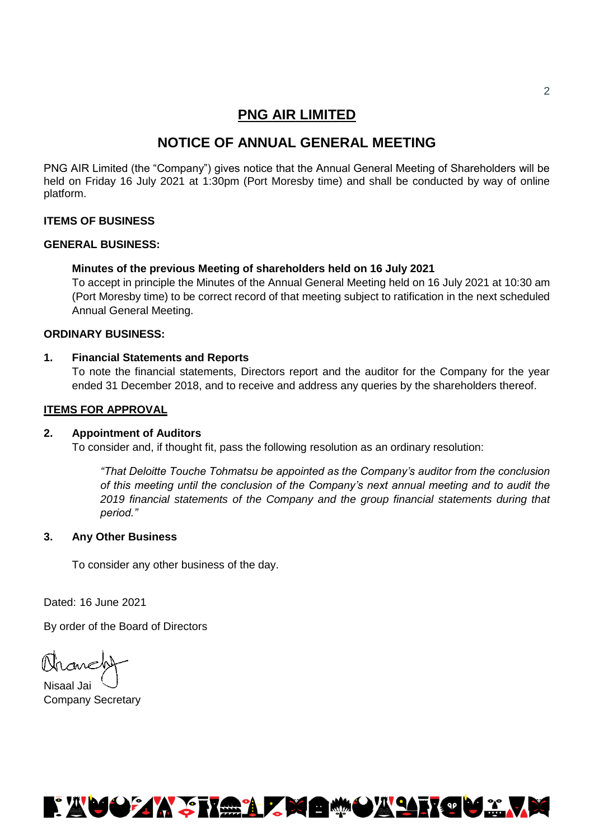## **PNG AIR LIMITED**

# **NOTICE OF ANNUAL GENERAL MEETING**

PNG AIR Limited (the "Company") gives notice that the Annual General Meeting of Shareholders will be held on Friday 16 July 2021 at 1:30pm (Port Moresby time) and shall be conducted by way of online platform.

### **ITEMS OF BUSINESS**

#### **GENERAL BUSINESS:**

### **Minutes of the previous Meeting of shareholders held on 16 July 2021**

To accept in principle the Minutes of the Annual General Meeting held on 16 July 2021 at 10:30 am (Port Moresby time) to be correct record of that meeting subject to ratification in the next scheduled Annual General Meeting.

#### **ORDINARY BUSINESS:**

#### **1. Financial Statements and Reports**

To note the financial statements, Directors report and the auditor for the Company for the year ended 31 December 2018, and to receive and address any queries by the shareholders thereof.

#### **ITEMS FOR APPROVAL**

#### **2. Appointment of Auditors**

To consider and, if thought fit, pass the following resolution as an ordinary resolution:

*"That Deloitte Touche Tohmatsu be appointed as the Company's auditor from the conclusion of this meeting until the conclusion of the Company's next annual meeting and to audit the 2019 financial statements of the Company and the group financial statements during that period."*

#### **3. Any Other Business**

To consider any other business of the day.

Dated: 16 June 2021

By order of the Board of Directors

Mancht

Nisaal Jai Company Secretary